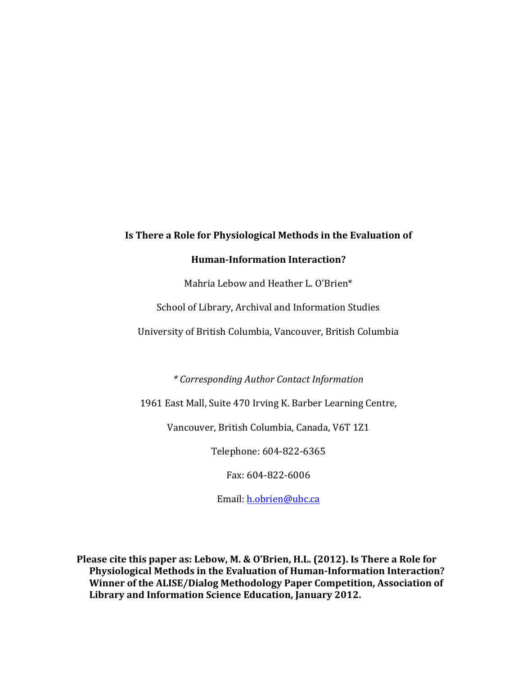# **Is There a Role for Physiological Methods in the Evaluation of Human-Information Interaction?**

Mahria Lebow and Heather L. O'Brien\*

School of Library, Archival and Information Studies

University of British Columbia, Vancouver, British Columbia

*\* Corresponding Author Contact Information*

1961 East Mall, Suite 470 Irving K. Barber Learning Centre,

Vancouver, British Columbia, Canada, V6T 1Z1

Telephone: 604-822-6365

Fax: 604-822-6006

Email: h.obrien@ubc.ca

**Please cite this paper as: Lebow, M. & O'Brien, H.L. (2012). Is There a Role for Physiological Methods in the Evaluation of Human-Information Interaction? Winner of the ALISE/Dialog Methodology Paper Competition, Association of** Library and Information Science Education, January 2012.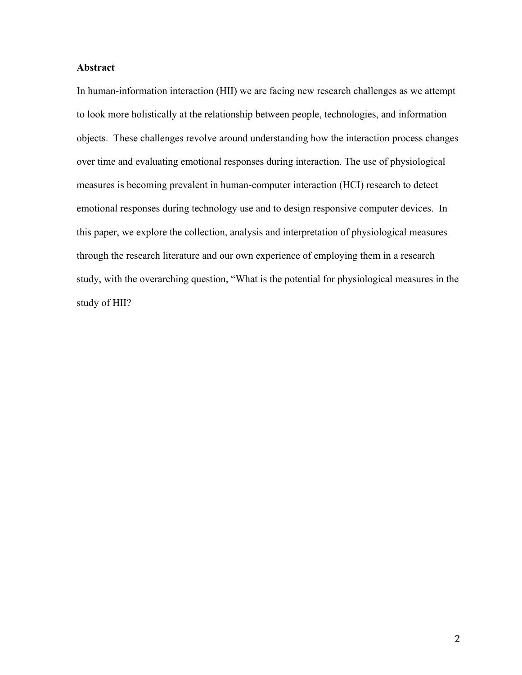# **Abstract**

In human-information interaction (HII) we are facing new research challenges as we attempt to look more holistically at the relationship between people, technologies, and information objects. These challenges revolve around understanding how the interaction process changes over time and evaluating emotional responses during interaction. The use of physiological measures is becoming prevalent in human-computer interaction (HCI) research to detect emotional responses during technology use and to design responsive computer devices. In this paper, we explore the collection, analysis and interpretation of physiological measures through the research literature and our own experience of employing them in a research study, with the overarching question, "What is the potential for physiological measures in the study of HII?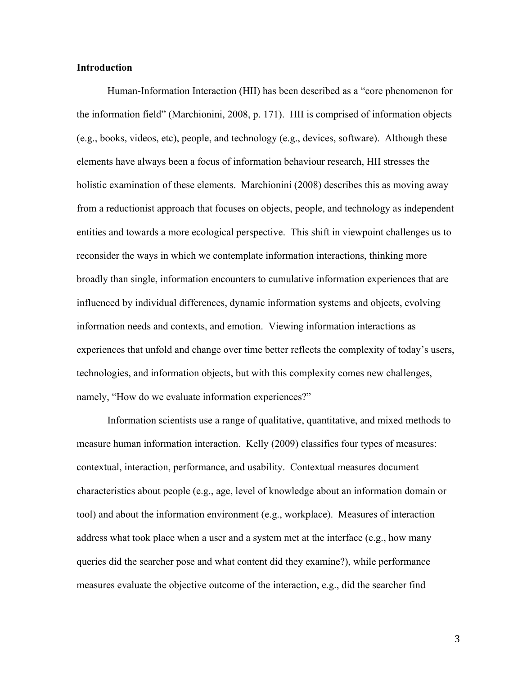## **Introduction**

Human-Information Interaction (HII) has been described as a "core phenomenon for the information field" (Marchionini, 2008, p. 171). HII is comprised of information objects (e.g., books, videos, etc), people, and technology (e.g., devices, software). Although these elements have always been a focus of information behaviour research, HII stresses the holistic examination of these elements. Marchionini (2008) describes this as moving away from a reductionist approach that focuses on objects, people, and technology as independent entities and towards a more ecological perspective. This shift in viewpoint challenges us to reconsider the ways in which we contemplate information interactions, thinking more broadly than single, information encounters to cumulative information experiences that are influenced by individual differences, dynamic information systems and objects, evolving information needs and contexts, and emotion. Viewing information interactions as experiences that unfold and change over time better reflects the complexity of today's users, technologies, and information objects, but with this complexity comes new challenges, namely, "How do we evaluate information experiences?"

Information scientists use a range of qualitative, quantitative, and mixed methods to measure human information interaction. Kelly (2009) classifies four types of measures: contextual, interaction, performance, and usability. Contextual measures document characteristics about people (e.g., age, level of knowledge about an information domain or tool) and about the information environment (e.g., workplace). Measures of interaction address what took place when a user and a system met at the interface (e.g., how many queries did the searcher pose and what content did they examine?), while performance measures evaluate the objective outcome of the interaction, e.g., did the searcher find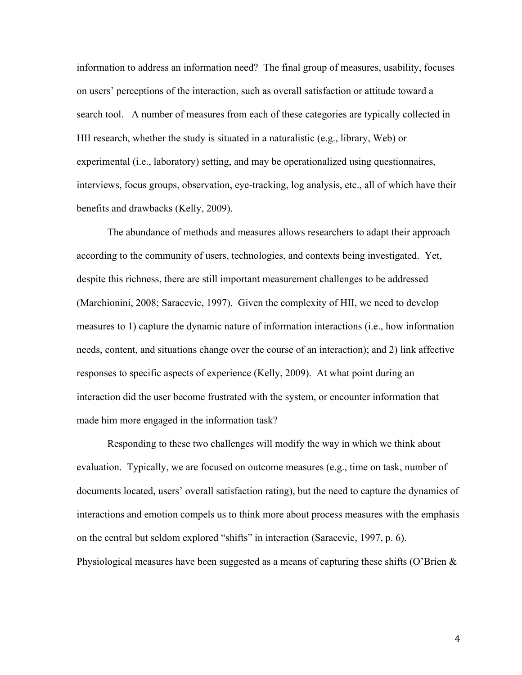information to address an information need? The final group of measures, usability, focuses on users' perceptions of the interaction, such as overall satisfaction or attitude toward a search tool. A number of measures from each of these categories are typically collected in HII research, whether the study is situated in a naturalistic (e.g., library, Web) or experimental (i.e., laboratory) setting, and may be operationalized using questionnaires, interviews, focus groups, observation, eye-tracking, log analysis, etc., all of which have their benefits and drawbacks (Kelly, 2009).

The abundance of methods and measures allows researchers to adapt their approach according to the community of users, technologies, and contexts being investigated. Yet, despite this richness, there are still important measurement challenges to be addressed (Marchionini, 2008; Saracevic, 1997). Given the complexity of HII, we need to develop measures to 1) capture the dynamic nature of information interactions (i.e., how information needs, content, and situations change over the course of an interaction); and 2) link affective responses to specific aspects of experience (Kelly, 2009). At what point during an interaction did the user become frustrated with the system, or encounter information that made him more engaged in the information task?

Responding to these two challenges will modify the way in which we think about evaluation. Typically, we are focused on outcome measures (e.g., time on task, number of documents located, users' overall satisfaction rating), but the need to capture the dynamics of interactions and emotion compels us to think more about process measures with the emphasis on the central but seldom explored "shifts" in interaction (Saracevic, 1997, p. 6). Physiological measures have been suggested as a means of capturing these shifts (O'Brien &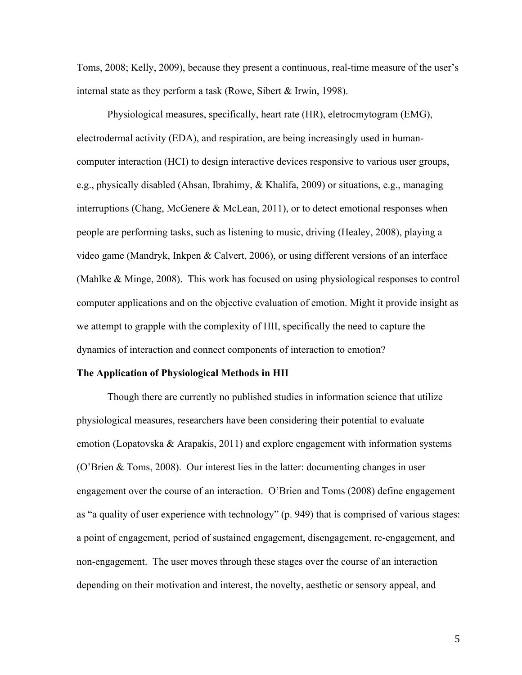Toms, 2008; Kelly, 2009), because they present a continuous, real-time measure of the user's internal state as they perform a task (Rowe, Sibert & Irwin, 1998).

Physiological measures, specifically, heart rate (HR), eletrocmytogram (EMG), electrodermal activity (EDA), and respiration, are being increasingly used in humancomputer interaction (HCI) to design interactive devices responsive to various user groups, e.g., physically disabled (Ahsan, Ibrahimy, & Khalifa, 2009) or situations, e.g., managing interruptions (Chang, McGenere & McLean, 2011), or to detect emotional responses when people are performing tasks, such as listening to music, driving (Healey, 2008), playing a video game (Mandryk, Inkpen & Calvert, 2006), or using different versions of an interface (Mahlke & Minge, 2008). This work has focused on using physiological responses to control computer applications and on the objective evaluation of emotion. Might it provide insight as we attempt to grapple with the complexity of HII, specifically the need to capture the dynamics of interaction and connect components of interaction to emotion?

#### **The Application of Physiological Methods in HII**

Though there are currently no published studies in information science that utilize physiological measures, researchers have been considering their potential to evaluate emotion (Lopatovska & Arapakis, 2011) and explore engagement with information systems (O'Brien & Toms, 2008). Our interest lies in the latter: documenting changes in user engagement over the course of an interaction. O'Brien and Toms (2008) define engagement as "a quality of user experience with technology" (p. 949) that is comprised of various stages: a point of engagement, period of sustained engagement, disengagement, re-engagement, and non-engagement. The user moves through these stages over the course of an interaction depending on their motivation and interest, the novelty, aesthetic or sensory appeal, and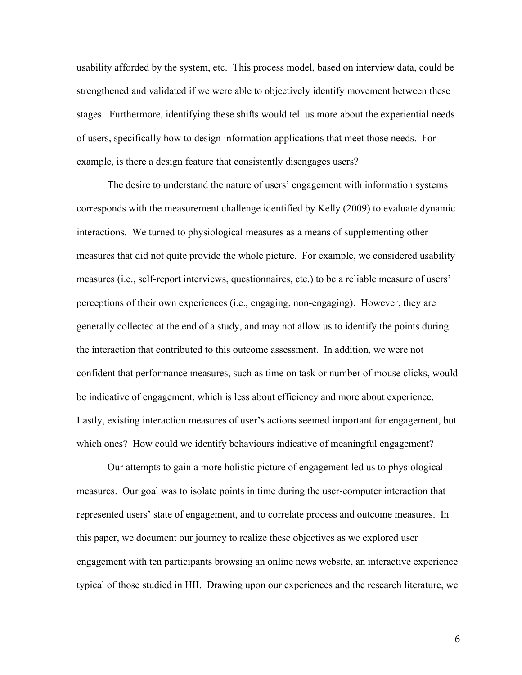usability afforded by the system, etc. This process model, based on interview data, could be strengthened and validated if we were able to objectively identify movement between these stages. Furthermore, identifying these shifts would tell us more about the experiential needs of users, specifically how to design information applications that meet those needs. For example, is there a design feature that consistently disengages users?

The desire to understand the nature of users' engagement with information systems corresponds with the measurement challenge identified by Kelly (2009) to evaluate dynamic interactions. We turned to physiological measures as a means of supplementing other measures that did not quite provide the whole picture. For example, we considered usability measures (i.e., self-report interviews, questionnaires, etc.) to be a reliable measure of users' perceptions of their own experiences (i.e., engaging, non-engaging). However, they are generally collected at the end of a study, and may not allow us to identify the points during the interaction that contributed to this outcome assessment. In addition, we were not confident that performance measures, such as time on task or number of mouse clicks, would be indicative of engagement, which is less about efficiency and more about experience. Lastly, existing interaction measures of user's actions seemed important for engagement, but which ones? How could we identify behaviours indicative of meaningful engagement?

Our attempts to gain a more holistic picture of engagement led us to physiological measures. Our goal was to isolate points in time during the user-computer interaction that represented users' state of engagement, and to correlate process and outcome measures. In this paper, we document our journey to realize these objectives as we explored user engagement with ten participants browsing an online news website, an interactive experience typical of those studied in HII. Drawing upon our experiences and the research literature, we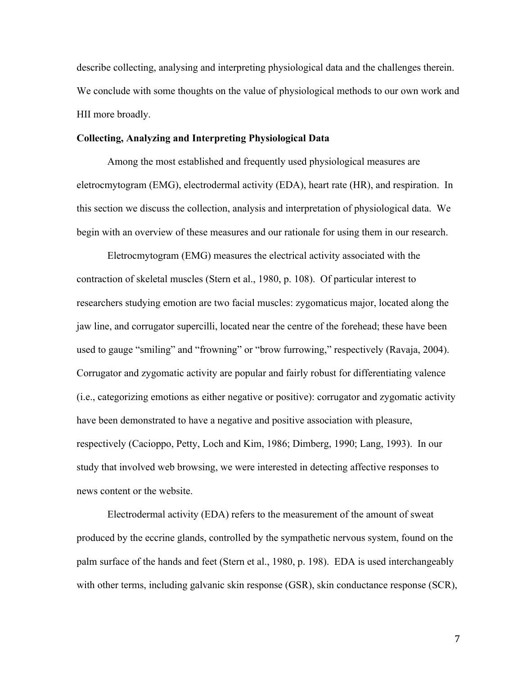describe collecting, analysing and interpreting physiological data and the challenges therein. We conclude with some thoughts on the value of physiological methods to our own work and HII more broadly.

## **Collecting, Analyzing and Interpreting Physiological Data**

Among the most established and frequently used physiological measures are eletrocmytogram (EMG), electrodermal activity (EDA), heart rate (HR), and respiration. In this section we discuss the collection, analysis and interpretation of physiological data. We begin with an overview of these measures and our rationale for using them in our research.

Eletrocmytogram (EMG) measures the electrical activity associated with the contraction of skeletal muscles (Stern et al., 1980, p. 108). Of particular interest to researchers studying emotion are two facial muscles: zygomaticus major, located along the jaw line, and corrugator supercilli, located near the centre of the forehead; these have been used to gauge "smiling" and "frowning" or "brow furrowing," respectively (Ravaja, 2004). Corrugator and zygomatic activity are popular and fairly robust for differentiating valence (i.e., categorizing emotions as either negative or positive): corrugator and zygomatic activity have been demonstrated to have a negative and positive association with pleasure, respectively (Cacioppo, Petty, Loch and Kim, 1986; Dimberg, 1990; Lang, 1993). In our study that involved web browsing, we were interested in detecting affective responses to news content or the website.

Electrodermal activity (EDA) refers to the measurement of the amount of sweat produced by the eccrine glands, controlled by the sympathetic nervous system, found on the palm surface of the hands and feet (Stern et al., 1980, p. 198). EDA is used interchangeably with other terms, including galvanic skin response (GSR), skin conductance response (SCR),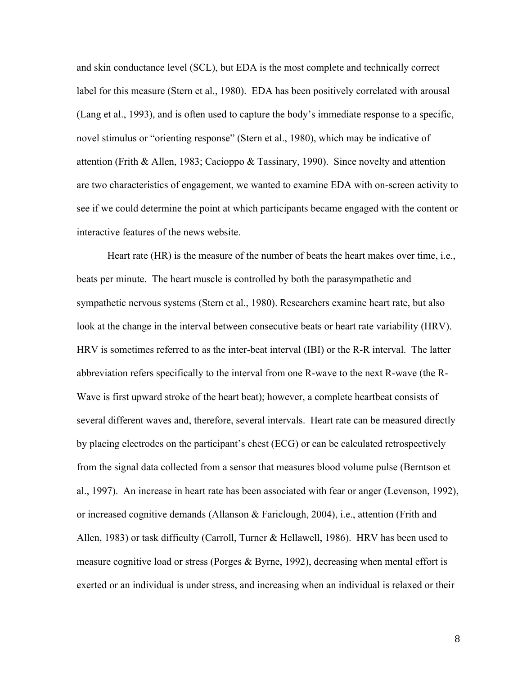and skin conductance level (SCL), but EDA is the most complete and technically correct label for this measure (Stern et al., 1980). EDA has been positively correlated with arousal (Lang et al., 1993), and is often used to capture the body's immediate response to a specific, novel stimulus or "orienting response" (Stern et al., 1980), which may be indicative of attention (Frith & Allen, 1983; Cacioppo & Tassinary, 1990). Since novelty and attention are two characteristics of engagement, we wanted to examine EDA with on-screen activity to see if we could determine the point at which participants became engaged with the content or interactive features of the news website.

Heart rate (HR) is the measure of the number of beats the heart makes over time, i.e., beats per minute. The heart muscle is controlled by both the parasympathetic and sympathetic nervous systems (Stern et al., 1980). Researchers examine heart rate, but also look at the change in the interval between consecutive beats or heart rate variability (HRV). HRV is sometimes referred to as the inter-beat interval (IBI) or the R-R interval. The latter abbreviation refers specifically to the interval from one R-wave to the next R-wave (the R-Wave is first upward stroke of the heart beat); however, a complete heartbeat consists of several different waves and, therefore, several intervals. Heart rate can be measured directly by placing electrodes on the participant's chest (ECG) or can be calculated retrospectively from the signal data collected from a sensor that measures blood volume pulse (Berntson et al., 1997). An increase in heart rate has been associated with fear or anger (Levenson, 1992), or increased cognitive demands (Allanson & Fariclough, 2004), i.e., attention (Frith and Allen, 1983) or task difficulty (Carroll, Turner & Hellawell, 1986). HRV has been used to measure cognitive load or stress (Porges & Byrne, 1992), decreasing when mental effort is exerted or an individual is under stress, and increasing when an individual is relaxed or their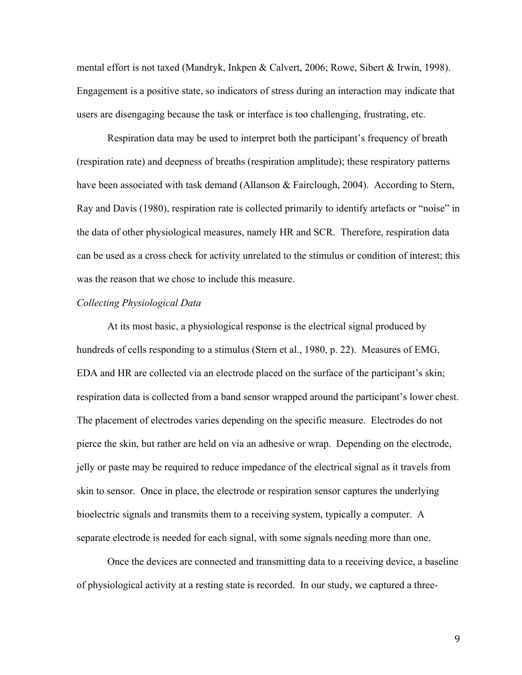mental effort is not taxed (Mandryk, Inkpen & Calvert, 2006; Rowe, Sibert & Irwin, 1998). Engagement is a positive state, so indicators of stress during an interaction may indicate that users are disengaging because the task or interface is too challenging, frustrating, etc.

Respiration data may be used to interpret both the participant's frequency of breath (respiration rate) and deepness of breaths (respiration amplitude); these respiratory patterns have been associated with task demand (Allanson & Fairclough, 2004). According to Stern, Ray and Davis (1980), respiration rate is collected primarily to identify artefacts or "noise" in the data of other physiological measures, namely HR and SCR. Therefore, respiration data can be used as a cross check for activity unrelated to the stimulus or condition of interest; this was the reason that we chose to include this measure.

## *Collecting Physiological Data*

At its most basic, a physiological response is the electrical signal produced by hundreds of cells responding to a stimulus (Stern et al., 1980, p. 22). Measures of EMG, EDA and HR are collected via an electrode placed on the surface of the participant's skin; respiration data is collected from a band sensor wrapped around the participant's lower chest. The placement of electrodes varies depending on the specific measure. Electrodes do not pierce the skin, but rather are held on via an adhesive or wrap. Depending on the electrode, jelly or paste may be required to reduce impedance of the electrical signal as it travels from skin to sensor. Once in place, the electrode or respiration sensor captures the underlying bioelectric signals and transmits them to a receiving system, typically a computer. A separate electrode is needed for each signal, with some signals needing more than one.

Once the devices are connected and transmitting data to a receiving device, a baseline of physiological activity at a resting state is recorded. In our study, we captured a three-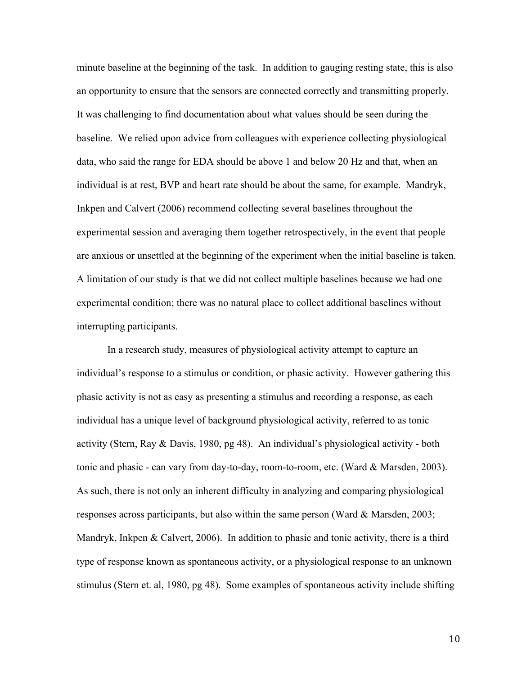minute baseline at the beginning of the task. In addition to gauging resting state, this is also an opportunity to ensure that the sensors are connected correctly and transmitting properly. It was challenging to find documentation about what values should be seen during the baseline. We relied upon advice from colleagues with experience collecting physiological data, who said the range for EDA should be above 1 and below 20 Hz and that, when an individual is at rest, BVP and heart rate should be about the same, for example. Mandryk, Inkpen and Calvert (2006) recommend collecting several baselines throughout the experimental session and averaging them together retrospectively, in the event that people are anxious or unsettled at the beginning of the experiment when the initial baseline is taken. A limitation of our study is that we did not collect multiple baselines because we had one experimental condition; there was no natural place to collect additional baselines without interrupting participants.

In a research study, measures of physiological activity attempt to capture an individual's response to a stimulus or condition, or phasic activity. However gathering this phasic activity is not as easy as presenting a stimulus and recording a response, as each individual has a unique level of background physiological activity, referred to as tonic activity (Stern, Ray & Davis, 1980, pg 48). An individual's physiological activity - both tonic and phasic - can vary from day-to-day, room-to-room, etc. (Ward & Marsden, 2003). As such, there is not only an inherent difficulty in analyzing and comparing physiological responses across participants, but also within the same person (Ward & Marsden, 2003; Mandryk, Inkpen & Calvert, 2006). In addition to phasic and tonic activity, there is a third type of response known as spontaneous activity, or a physiological response to an unknown stimulus (Stern et. al, 1980, pg 48). Some examples of spontaneous activity include shifting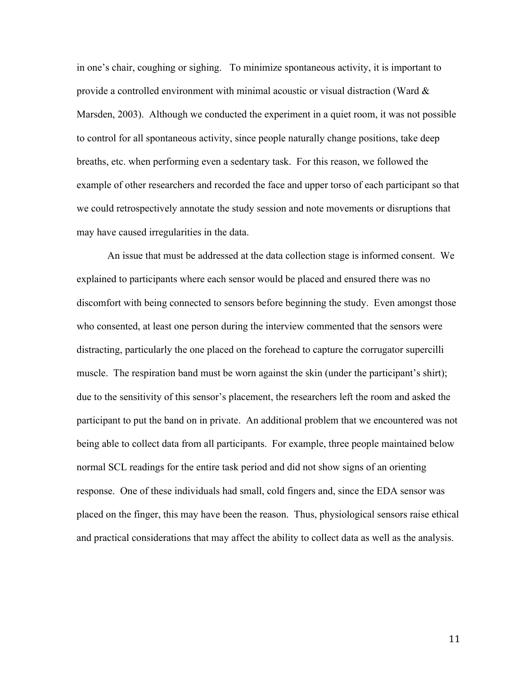in one's chair, coughing or sighing. To minimize spontaneous activity, it is important to provide a controlled environment with minimal acoustic or visual distraction (Ward & Marsden, 2003). Although we conducted the experiment in a quiet room, it was not possible to control for all spontaneous activity, since people naturally change positions, take deep breaths, etc. when performing even a sedentary task. For this reason, we followed the example of other researchers and recorded the face and upper torso of each participant so that we could retrospectively annotate the study session and note movements or disruptions that may have caused irregularities in the data.

An issue that must be addressed at the data collection stage is informed consent. We explained to participants where each sensor would be placed and ensured there was no discomfort with being connected to sensors before beginning the study. Even amongst those who consented, at least one person during the interview commented that the sensors were distracting, particularly the one placed on the forehead to capture the corrugator supercilli muscle. The respiration band must be worn against the skin (under the participant's shirt); due to the sensitivity of this sensor's placement, the researchers left the room and asked the participant to put the band on in private. An additional problem that we encountered was not being able to collect data from all participants. For example, three people maintained below normal SCL readings for the entire task period and did not show signs of an orienting response. One of these individuals had small, cold fingers and, since the EDA sensor was placed on the finger, this may have been the reason. Thus, physiological sensors raise ethical and practical considerations that may affect the ability to collect data as well as the analysis.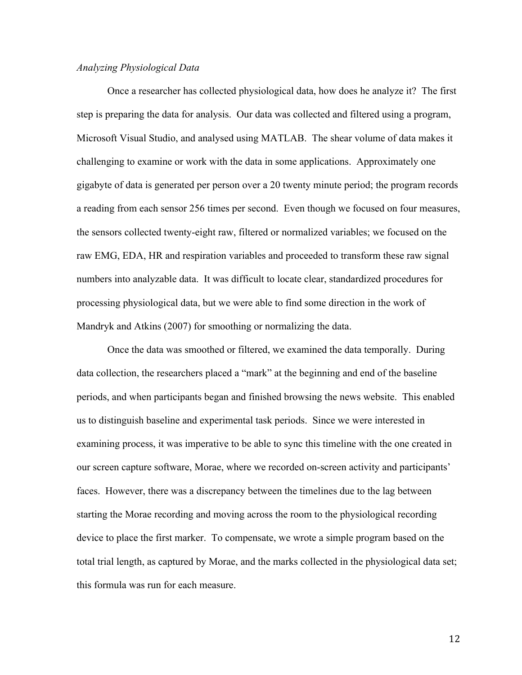## *Analyzing Physiological Data*

Once a researcher has collected physiological data, how does he analyze it? The first step is preparing the data for analysis. Our data was collected and filtered using a program, Microsoft Visual Studio, and analysed using MATLAB. The shear volume of data makes it challenging to examine or work with the data in some applications. Approximately one gigabyte of data is generated per person over a 20 twenty minute period; the program records a reading from each sensor 256 times per second. Even though we focused on four measures, the sensors collected twenty-eight raw, filtered or normalized variables; we focused on the raw EMG, EDA, HR and respiration variables and proceeded to transform these raw signal numbers into analyzable data. It was difficult to locate clear, standardized procedures for processing physiological data, but we were able to find some direction in the work of Mandryk and Atkins (2007) for smoothing or normalizing the data.

Once the data was smoothed or filtered, we examined the data temporally. During data collection, the researchers placed a "mark" at the beginning and end of the baseline periods, and when participants began and finished browsing the news website. This enabled us to distinguish baseline and experimental task periods. Since we were interested in examining process, it was imperative to be able to sync this timeline with the one created in our screen capture software, Morae, where we recorded on-screen activity and participants' faces. However, there was a discrepancy between the timelines due to the lag between starting the Morae recording and moving across the room to the physiological recording device to place the first marker. To compensate, we wrote a simple program based on the total trial length, as captured by Morae, and the marks collected in the physiological data set; this formula was run for each measure.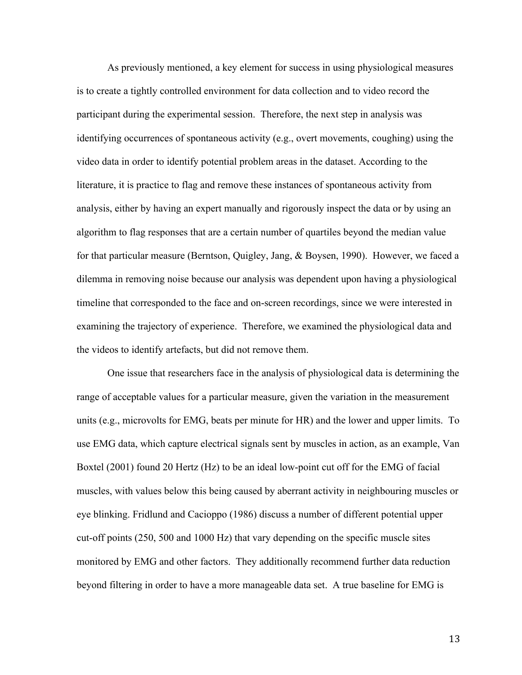As previously mentioned, a key element for success in using physiological measures is to create a tightly controlled environment for data collection and to video record the participant during the experimental session. Therefore, the next step in analysis was identifying occurrences of spontaneous activity (e.g., overt movements, coughing) using the video data in order to identify potential problem areas in the dataset. According to the literature, it is practice to flag and remove these instances of spontaneous activity from analysis, either by having an expert manually and rigorously inspect the data or by using an algorithm to flag responses that are a certain number of quartiles beyond the median value for that particular measure (Berntson, Quigley, Jang, & Boysen, 1990). However, we faced a dilemma in removing noise because our analysis was dependent upon having a physiological timeline that corresponded to the face and on-screen recordings, since we were interested in examining the trajectory of experience. Therefore, we examined the physiological data and the videos to identify artefacts, but did not remove them.

One issue that researchers face in the analysis of physiological data is determining the range of acceptable values for a particular measure, given the variation in the measurement units (e.g., microvolts for EMG, beats per minute for HR) and the lower and upper limits. To use EMG data, which capture electrical signals sent by muscles in action, as an example, Van Boxtel (2001) found 20 Hertz (Hz) to be an ideal low-point cut off for the EMG of facial muscles, with values below this being caused by aberrant activity in neighbouring muscles or eye blinking. Fridlund and Cacioppo (1986) discuss a number of different potential upper cut-off points (250, 500 and 1000 Hz) that vary depending on the specific muscle sites monitored by EMG and other factors. They additionally recommend further data reduction beyond filtering in order to have a more manageable data set. A true baseline for EMG is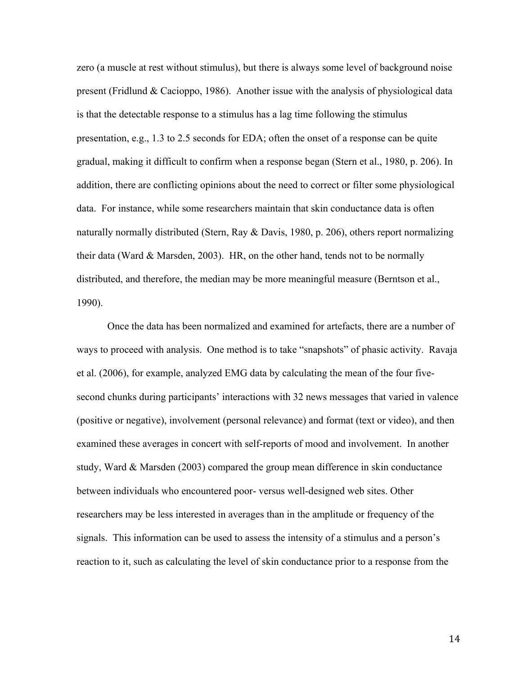zero (a muscle at rest without stimulus), but there is always some level of background noise present (Fridlund & Cacioppo, 1986). Another issue with the analysis of physiological data is that the detectable response to a stimulus has a lag time following the stimulus presentation, e.g., 1.3 to 2.5 seconds for EDA; often the onset of a response can be quite gradual, making it difficult to confirm when a response began (Stern et al., 1980, p. 206). In addition, there are conflicting opinions about the need to correct or filter some physiological data. For instance, while some researchers maintain that skin conductance data is often naturally normally distributed (Stern, Ray & Davis, 1980, p. 206), others report normalizing their data (Ward & Marsden, 2003). HR, on the other hand, tends not to be normally distributed, and therefore, the median may be more meaningful measure (Berntson et al., 1990).

Once the data has been normalized and examined for artefacts, there are a number of ways to proceed with analysis. One method is to take "snapshots" of phasic activity. Ravaja et al. (2006), for example, analyzed EMG data by calculating the mean of the four fivesecond chunks during participants' interactions with 32 news messages that varied in valence (positive or negative), involvement (personal relevance) and format (text or video), and then examined these averages in concert with self-reports of mood and involvement. In another study, Ward & Marsden (2003) compared the group mean difference in skin conductance between individuals who encountered poor- versus well-designed web sites. Other researchers may be less interested in averages than in the amplitude or frequency of the signals. This information can be used to assess the intensity of a stimulus and a person's reaction to it, such as calculating the level of skin conductance prior to a response from the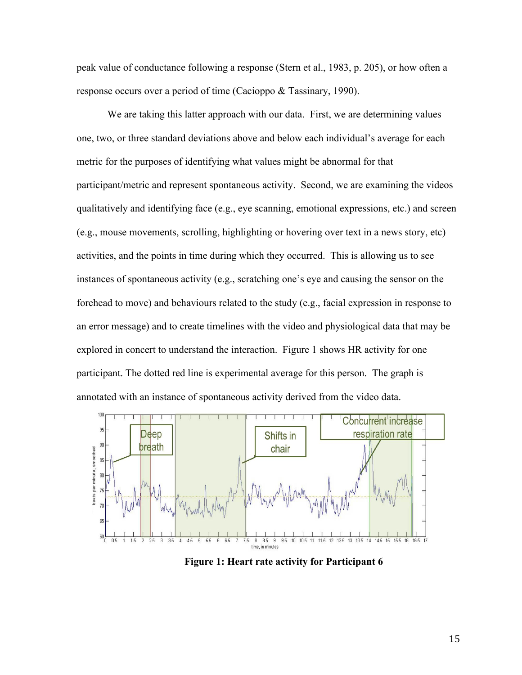peak value of conductance following a response (Stern et al., 1983, p. 205), or how often a response occurs over a period of time (Cacioppo & Tassinary, 1990).

We are taking this latter approach with our data. First, we are determining values one, two, or three standard deviations above and below each individual's average for each metric for the purposes of identifying what values might be abnormal for that participant/metric and represent spontaneous activity. Second, we are examining the videos qualitatively and identifying face (e.g., eye scanning, emotional expressions, etc.) and screen (e.g., mouse movements, scrolling, highlighting or hovering over text in a news story, etc) activities, and the points in time during which they occurred. This is allowing us to see instances of spontaneous activity (e.g., scratching one's eye and causing the sensor on the forehead to move) and behaviours related to the study (e.g., facial expression in response to an error message) and to create timelines with the video and physiological data that may be explored in concert to understand the interaction. Figure 1 shows HR activity for one participant. The dotted red line is experimental average for this person. The graph is annotated with an instance of spontaneous activity derived from the video data.



**Figure 1: Heart rate activity for Participant 6**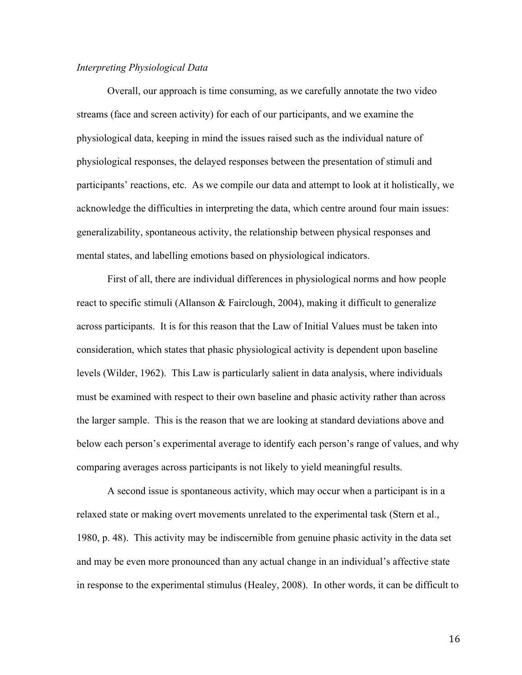## *Interpreting Physiological Data*

Overall, our approach is time consuming, as we carefully annotate the two video streams (face and screen activity) for each of our participants, and we examine the physiological data, keeping in mind the issues raised such as the individual nature of physiological responses, the delayed responses between the presentation of stimuli and participants' reactions, etc. As we compile our data and attempt to look at it holistically, we acknowledge the difficulties in interpreting the data, which centre around four main issues: generalizability, spontaneous activity, the relationship between physical responses and mental states, and labelling emotions based on physiological indicators.

First of all, there are individual differences in physiological norms and how people react to specific stimuli (Allanson & Fairclough, 2004), making it difficult to generalize across participants. It is for this reason that the Law of Initial Values must be taken into consideration, which states that phasic physiological activity is dependent upon baseline levels (Wilder, 1962). This Law is particularly salient in data analysis, where individuals must be examined with respect to their own baseline and phasic activity rather than across the larger sample. This is the reason that we are looking at standard deviations above and below each person's experimental average to identify each person's range of values, and why comparing averages across participants is not likely to yield meaningful results.

A second issue is spontaneous activity, which may occur when a participant is in a relaxed state or making overt movements unrelated to the experimental task (Stern et al., 1980, p. 48). This activity may be indiscernible from genuine phasic activity in the data set and may be even more pronounced than any actual change in an individual's affective state in response to the experimental stimulus (Healey, 2008). In other words, it can be difficult to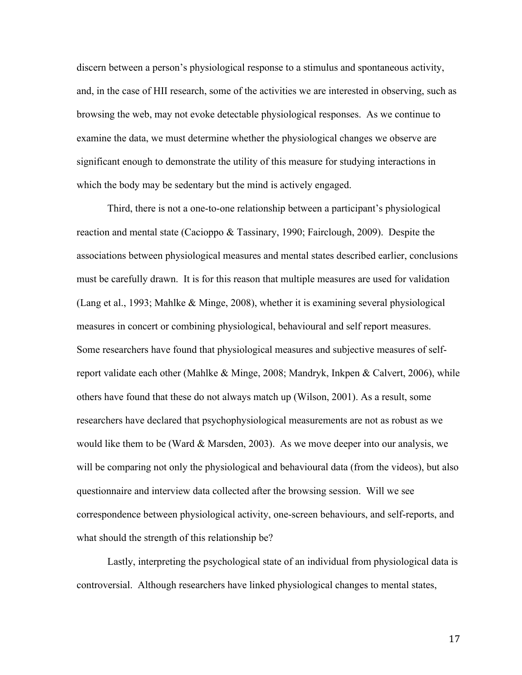discern between a person's physiological response to a stimulus and spontaneous activity, and, in the case of HII research, some of the activities we are interested in observing, such as browsing the web, may not evoke detectable physiological responses. As we continue to examine the data, we must determine whether the physiological changes we observe are significant enough to demonstrate the utility of this measure for studying interactions in which the body may be sedentary but the mind is actively engaged.

Third, there is not a one-to-one relationship between a participant's physiological reaction and mental state (Cacioppo & Tassinary, 1990; Fairclough, 2009). Despite the associations between physiological measures and mental states described earlier, conclusions must be carefully drawn. It is for this reason that multiple measures are used for validation (Lang et al., 1993; Mahlke & Minge, 2008), whether it is examining several physiological measures in concert or combining physiological, behavioural and self report measures. Some researchers have found that physiological measures and subjective measures of selfreport validate each other (Mahlke & Minge, 2008; Mandryk, Inkpen & Calvert, 2006), while others have found that these do not always match up (Wilson, 2001). As a result, some researchers have declared that psychophysiological measurements are not as robust as we would like them to be (Ward  $&$  Marsden, 2003). As we move deeper into our analysis, we will be comparing not only the physiological and behavioural data (from the videos), but also questionnaire and interview data collected after the browsing session. Will we see correspondence between physiological activity, one-screen behaviours, and self-reports, and what should the strength of this relationship be?

Lastly, interpreting the psychological state of an individual from physiological data is controversial. Although researchers have linked physiological changes to mental states,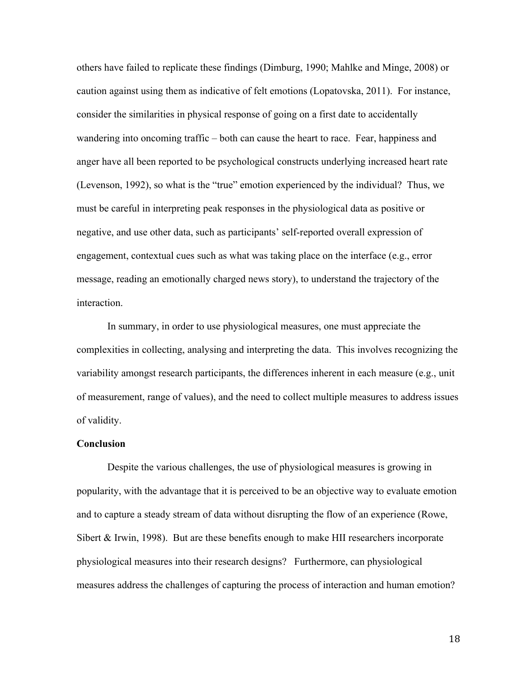others have failed to replicate these findings (Dimburg, 1990; Mahlke and Minge, 2008) or caution against using them as indicative of felt emotions (Lopatovska, 2011). For instance, consider the similarities in physical response of going on a first date to accidentally wandering into oncoming traffic – both can cause the heart to race. Fear, happiness and anger have all been reported to be psychological constructs underlying increased heart rate (Levenson, 1992), so what is the "true" emotion experienced by the individual? Thus, we must be careful in interpreting peak responses in the physiological data as positive or negative, and use other data, such as participants' self-reported overall expression of engagement, contextual cues such as what was taking place on the interface (e.g., error message, reading an emotionally charged news story), to understand the trajectory of the interaction.

In summary, in order to use physiological measures, one must appreciate the complexities in collecting, analysing and interpreting the data. This involves recognizing the variability amongst research participants, the differences inherent in each measure (e.g., unit of measurement, range of values), and the need to collect multiple measures to address issues of validity.

## **Conclusion**

Despite the various challenges, the use of physiological measures is growing in popularity, with the advantage that it is perceived to be an objective way to evaluate emotion and to capture a steady stream of data without disrupting the flow of an experience (Rowe, Sibert & Irwin, 1998). But are these benefits enough to make HII researchers incorporate physiological measures into their research designs? Furthermore, can physiological measures address the challenges of capturing the process of interaction and human emotion?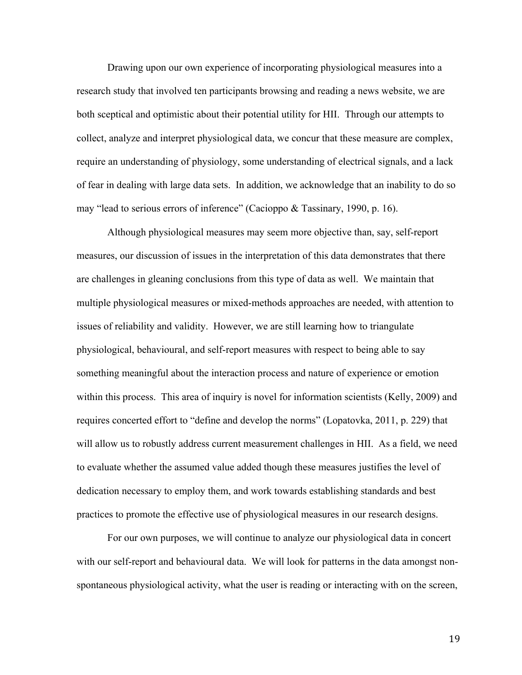Drawing upon our own experience of incorporating physiological measures into a research study that involved ten participants browsing and reading a news website, we are both sceptical and optimistic about their potential utility for HII. Through our attempts to collect, analyze and interpret physiological data, we concur that these measure are complex, require an understanding of physiology, some understanding of electrical signals, and a lack of fear in dealing with large data sets. In addition, we acknowledge that an inability to do so may "lead to serious errors of inference" (Cacioppo & Tassinary, 1990, p. 16).

Although physiological measures may seem more objective than, say, self-report measures, our discussion of issues in the interpretation of this data demonstrates that there are challenges in gleaning conclusions from this type of data as well. We maintain that multiple physiological measures or mixed-methods approaches are needed, with attention to issues of reliability and validity. However, we are still learning how to triangulate physiological, behavioural, and self-report measures with respect to being able to say something meaningful about the interaction process and nature of experience or emotion within this process. This area of inquiry is novel for information scientists (Kelly, 2009) and requires concerted effort to "define and develop the norms" (Lopatovka, 2011, p. 229) that will allow us to robustly address current measurement challenges in HII. As a field, we need to evaluate whether the assumed value added though these measures justifies the level of dedication necessary to employ them, and work towards establishing standards and best practices to promote the effective use of physiological measures in our research designs.

For our own purposes, we will continue to analyze our physiological data in concert with our self-report and behavioural data. We will look for patterns in the data amongst nonspontaneous physiological activity, what the user is reading or interacting with on the screen,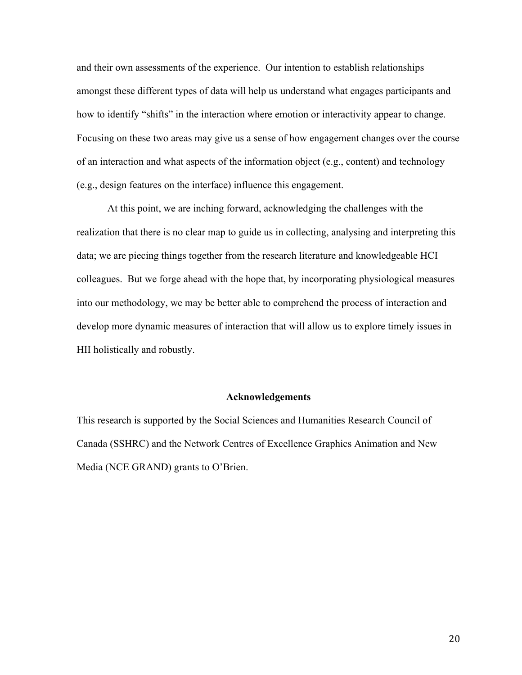and their own assessments of the experience. Our intention to establish relationships amongst these different types of data will help us understand what engages participants and how to identify "shifts" in the interaction where emotion or interactivity appear to change. Focusing on these two areas may give us a sense of how engagement changes over the course of an interaction and what aspects of the information object (e.g., content) and technology (e.g., design features on the interface) influence this engagement.

At this point, we are inching forward, acknowledging the challenges with the realization that there is no clear map to guide us in collecting, analysing and interpreting this data; we are piecing things together from the research literature and knowledgeable HCI colleagues. But we forge ahead with the hope that, by incorporating physiological measures into our methodology, we may be better able to comprehend the process of interaction and develop more dynamic measures of interaction that will allow us to explore timely issues in HII holistically and robustly.

## **Acknowledgements**

This research is supported by the Social Sciences and Humanities Research Council of Canada (SSHRC) and the Network Centres of Excellence Graphics Animation and New Media (NCE GRAND) grants to O'Brien.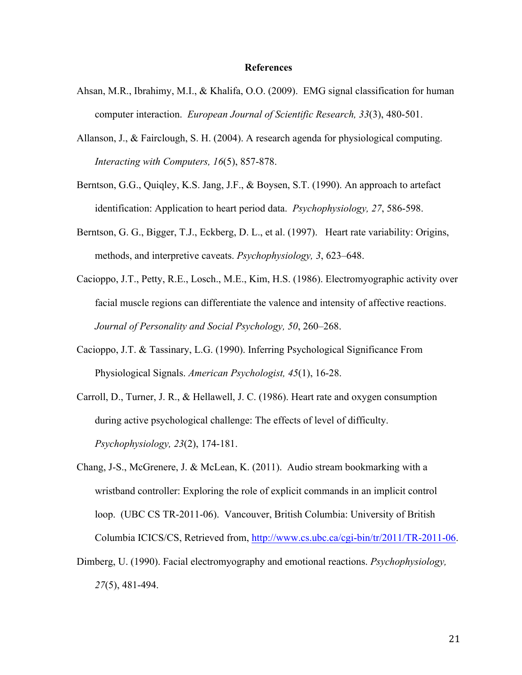#### **References**

- Ahsan, M.R., Ibrahimy, M.I., & Khalifa, O.O. (2009). EMG signal classification for human computer interaction. *European Journal of Scientific Research, 33*(3), 480-501.
- Allanson, J., & Fairclough, S. H. (2004). A research agenda for physiological computing. *Interacting with Computers, 16*(5), 857-878.
- Berntson, G.G., Quiqley, K.S. Jang, J.F., & Boysen, S.T. (1990). An approach to artefact identification: Application to heart period data. *Psychophysiology, 27*, 586-598.
- Berntson, G. G., Bigger, T.J., Eckberg, D. L., et al. (1997). Heart rate variability: Origins, methods, and interpretive caveats. *Psychophysiology, 3*, 623–648.
- Cacioppo, J.T., Petty, R.E., Losch., M.E., Kim, H.S. (1986). Electromyographic activity over facial muscle regions can differentiate the valence and intensity of affective reactions. *Journal of Personality and Social Psychology, 50*, 260–268.
- Cacioppo, J.T. & Tassinary, L.G. (1990). Inferring Psychological Significance From Physiological Signals. *American Psychologist, 45*(1), 16-28.
- Carroll, D., Turner, J. R., & Hellawell, J. C. (1986). Heart rate and oxygen consumption during active psychological challenge: The effects of level of difficulty. *Psychophysiology, 23*(2), 174-181.
- Chang, J-S., McGrenere, J. & McLean, K. (2011). Audio stream bookmarking with a wristband controller: Exploring the role of explicit commands in an implicit control loop. (UBC CS TR-2011-06). Vancouver, British Columbia: University of British Columbia ICICS/CS, Retrieved from, http://www.cs.ubc.ca/cgi-bin/tr/2011/TR-2011-06.
- Dimberg, U. (1990). Facial electromyography and emotional reactions. *Psychophysiology, 27*(5), 481-494.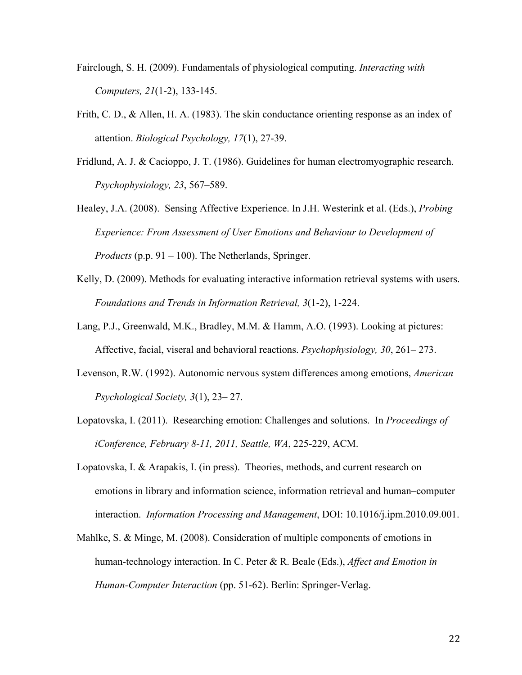- Fairclough, S. H. (2009). Fundamentals of physiological computing. *Interacting with Computers, 21*(1-2), 133-145.
- Frith, C. D., & Allen, H. A. (1983). The skin conductance orienting response as an index of attention. *Biological Psychology, 17*(1), 27-39.
- Fridlund, A. J. & Cacioppo, J. T. (1986). Guidelines for human electromyographic research. *Psychophysiology, 23*, 567–589.
- Healey, J.A. (2008). Sensing Affective Experience. In J.H. Westerink et al. (Eds.), *Probing Experience: From Assessment of User Emotions and Behaviour to Development of Products* (p.p. 91 – 100). The Netherlands, Springer.
- Kelly, D. (2009). Methods for evaluating interactive information retrieval systems with users. *Foundations and Trends in Information Retrieval, 3*(1-2), 1-224.
- Lang, P.J., Greenwald, M.K., Bradley, M.M. & Hamm, A.O. (1993). Looking at pictures: Affective, facial, viseral and behavioral reactions. *Psychophysiology, 30*, 261– 273.
- Levenson, R.W. (1992). Autonomic nervous system differences among emotions, *American Psychological Society, 3*(1), 23– 27.
- Lopatovska, I. (2011). Researching emotion: Challenges and solutions. In *Proceedings of iConference, February 8-11, 2011, Seattle, WA*, 225-229, ACM.
- Lopatovska, I. & Arapakis, I. (in press). Theories, methods, and current research on emotions in library and information science, information retrieval and human–computer interaction. *Information Processing and Management*, DOI: 10.1016/j.ipm.2010.09.001.
- Mahlke, S. & Minge, M. (2008). Consideration of multiple components of emotions in human-technology interaction. In C. Peter & R. Beale (Eds.), *Affect and Emotion in Human-Computer Interaction* (pp. 51-62). Berlin: Springer-Verlag.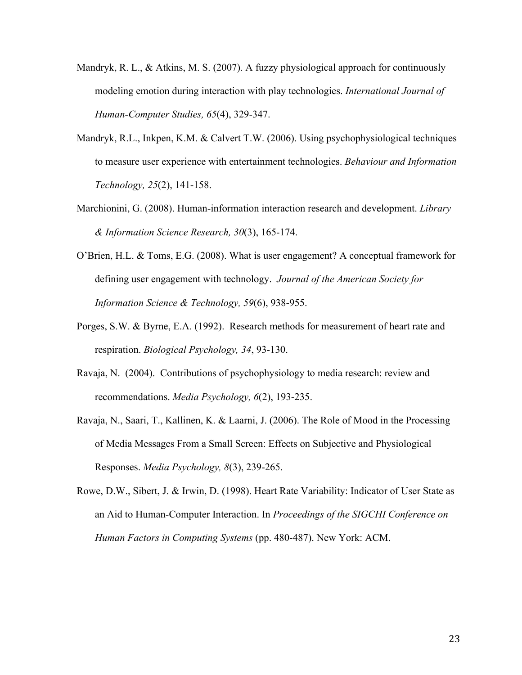- Mandryk, R. L.,  $\&$  Atkins, M. S. (2007). A fuzzy physiological approach for continuously modeling emotion during interaction with play technologies. *International Journal of Human-Computer Studies, 65*(4), 329-347.
- Mandryk, R.L., Inkpen, K.M. & Calvert T.W. (2006). Using psychophysiological techniques to measure user experience with entertainment technologies. *Behaviour and Information Technology, 25*(2), 141-158.
- Marchionini, G. (2008). Human-information interaction research and development. *Library & Information Science Research, 30*(3), 165-174.
- O'Brien, H.L. & Toms, E.G. (2008). What is user engagement? A conceptual framework for defining user engagement with technology. *Journal of the American Society for Information Science & Technology, 59*(6), 938-955.
- Porges, S.W. & Byrne, E.A. (1992). Research methods for measurement of heart rate and respiration. *Biological Psychology, 34*, 93-130.
- Ravaja, N. (2004). Contributions of psychophysiology to media research: review and recommendations. *Media Psychology, 6*(2), 193-235.
- Ravaja, N., Saari, T., Kallinen, K. & Laarni, J. (2006). The Role of Mood in the Processing of Media Messages From a Small Screen: Effects on Subjective and Physiological Responses. *Media Psychology, 8*(3), 239-265.
- Rowe, D.W., Sibert, J. & Irwin, D. (1998). Heart Rate Variability: Indicator of User State as an Aid to Human-Computer Interaction. In *Proceedings of the SIGCHI Conference on Human Factors in Computing Systems* (pp. 480-487). New York: ACM.